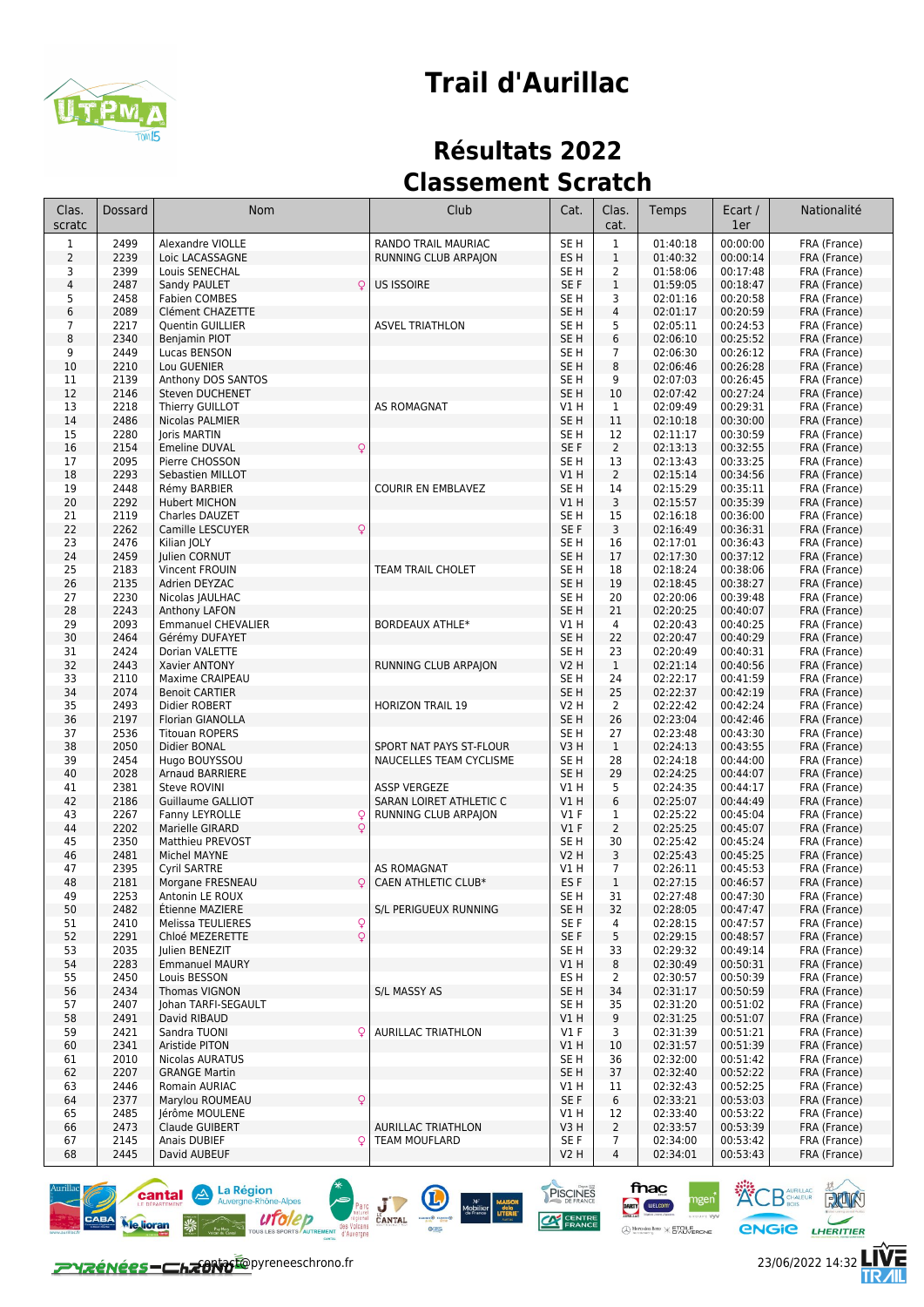

## **Trail d'Aurillac**

## **Résultats 2022 Classement Scratch**

| Clas.<br>scratc | <b>Dossard</b> | <b>Nom</b>                               | Club                      | Cat.                    | Clas.<br>cat.      | Temps                | Ecart /<br>1er       | Nationalité                  |
|-----------------|----------------|------------------------------------------|---------------------------|-------------------------|--------------------|----------------------|----------------------|------------------------------|
| $\mathbf{1}$    | 2499           | Alexandre VIOLLE                         | RANDO TRAIL MAURIAC       | SE <sub>H</sub>         | $\mathbf 1$        | 01:40:18             | 00:00:00             | FRA (France)                 |
| $\overline{2}$  | 2239           | Loic LACASSAGNE                          | RUNNING CLUB ARPAJON      | ES <sub>H</sub>         | $1\,$              | 01:40:32             | 00:00:14             | FRA (France)                 |
| 3               | 2399           | Louis SENECHAL                           |                           | SE H                    | $\overline{2}$     | 01:58:06             | 00:17:48             | FRA (France)                 |
| 4               | 2487<br>2458   | $\mathsf{Q}$<br>Sandy PAULET             | <b>US ISSOIRE</b>         | SE F<br>SE <sub>H</sub> | $\mathbf{1}$<br>3  | 01:59:05             | 00:18:47<br>00:20:58 | FRA (France)                 |
| 5<br>6          | 2089           | <b>Fabien COMBES</b><br>Clément CHAZETTE |                           | SE <sub>H</sub>         | $\overline{4}$     | 02:01:16<br>02:01:17 | 00:20:59             | FRA (France)<br>FRA (France) |
| $\overline{7}$  | 2217           | Quentin GUILLIER                         | <b>ASVEL TRIATHLON</b>    | SE H                    | 5                  | 02:05:11             | 00:24:53             | FRA (France)                 |
| 8               | 2340           | Benjamin PIOT                            |                           | SE H                    | 6                  | 02:06:10             | 00:25:52             | FRA (France)                 |
| 9               | 2449           | Lucas BENSON                             |                           | SE H                    | $\overline{7}$     | 02:06:30             | 00:26:12             | FRA (France)                 |
| 10              | 2210           | Lou GUENIER                              |                           | SE <sub>H</sub>         | 8                  | 02:06:46             | 00:26:28             | FRA (France)                 |
| 11              | 2139           | Anthony DOS SANTOS                       |                           | SE <sub>H</sub>         | 9                  | 02:07:03             | 00:26:45             | FRA (France)                 |
| 12              | 2146           | Steven DUCHENET                          |                           | SE <sub>H</sub>         | 10                 | 02:07:42             | 00:27:24             | FRA (France)                 |
| 13<br>14        | 2218<br>2486   | Thierry GUILLOT<br>Nicolas PALMIER       | <b>AS ROMAGNAT</b>        | V1 H<br>SE <sub>H</sub> | $\mathbf{1}$<br>11 | 02:09:49<br>02:10:18 | 00:29:31<br>00:30:00 | FRA (France)                 |
| 15              | 2280           | Joris MARTIN                             |                           | SE <sub>H</sub>         | 12                 | 02:11:17             | 00:30:59             | FRA (France)<br>FRA (France) |
| 16              | 2154           | $\circ$<br><b>Emeline DUVAL</b>          |                           | SE F                    | $\overline{2}$     | 02:13:13             | 00:32:55             | FRA (France)                 |
| 17              | 2095           | Pierre CHOSSON                           |                           | SE <sub>H</sub>         | 13                 | 02:13:43             | 00:33:25             | FRA (France)                 |
| 18              | 2293           | Sebastien MILLOT                         |                           | VIH                     | $\overline{2}$     | 02:15:14             | 00:34:56             | FRA (France)                 |
| 19              | 2448           | Rémy BARBIER                             | <b>COURIR EN EMBLAVEZ</b> | SE H                    | 14                 | 02:15:29             | 00:35:11             | FRA (France)                 |
| 20              | 2292           | Hubert MICHON                            |                           | V1 H                    | 3                  | 02:15:57             | 00:35:39             | FRA (France)                 |
| 21              | 2119           | Charles DAUZET                           |                           | SE H                    | 15                 | 02:16:18             | 00:36:00             | FRA (France)                 |
| 22<br>23        | 2262<br>2476   | $\mathsf{Q}$<br>Camille LESCUYER         |                           | SE F<br>SE <sub>H</sub> | 3<br>16            | 02:16:49<br>02:17:01 | 00:36:31<br>00:36:43 | FRA (France)                 |
| 24              | 2459           | Kilian JOLY<br>Julien CORNUT             |                           | SE <sub>H</sub>         | 17                 | 02:17:30             | 00:37:12             | FRA (France)<br>FRA (France) |
| 25              | 2183           | Vincent FROUIN                           | <b>TEAM TRAIL CHOLET</b>  | SE H                    | 18                 | 02:18:24             | 00:38:06             | FRA (France)                 |
| 26              | 2135           | Adrien DEYZAC                            |                           | SE <sub>H</sub>         | 19                 | 02:18:45             | 00:38:27             | FRA (France)                 |
| 27              | 2230           | Nicolas JAULHAC                          |                           | SE <sub>H</sub>         | 20                 | 02:20:06             | 00:39:48             | FRA (France)                 |
| 28              | 2243           | Anthony LAFON                            |                           | SE <sub>H</sub>         | 21                 | 02:20:25             | 00:40:07             | FRA (France)                 |
| 29              | 2093           | <b>Emmanuel CHEVALIER</b>                | <b>BORDEAUX ATHLE*</b>    | VIH                     | 4                  | 02:20:43             | 00:40:25             | FRA (France)                 |
| 30              | 2464           | Gérémy DUFAYET                           |                           | SE <sub>H</sub>         | 22                 | 02:20:47             | 00:40:29             | FRA (France)                 |
| 31<br>32        | 2424<br>2443   | Dorian VALETTE                           |                           | SE H                    | 23<br>$\mathbf 1$  | 02:20:49             | 00:40:31             | FRA (France)                 |
| 33              | 2110           | Xavier ANTONY<br>Maxime CRAIPEAU         | RUNNING CLUB ARPAJON      | <b>V2 H</b><br>SE H     | 24                 | 02:21:14<br>02:22:17 | 00:40:56<br>00:41:59 | FRA (France)<br>FRA (France) |
| 34              | 2074           | <b>Benoit CARTIER</b>                    |                           | SE <sub>H</sub>         | 25                 | 02:22:37             | 00:42:19             | FRA (France)                 |
| 35              | 2493           | Didier ROBERT                            | <b>HORIZON TRAIL 19</b>   | V2 H                    | $\overline{2}$     | 02:22:42             | 00:42:24             | FRA (France)                 |
| 36              | 2197           | Florian GIANOLLA                         |                           | SE <sub>H</sub>         | 26                 | 02:23:04             | 00:42:46             | FRA (France)                 |
| 37              | 2536           | <b>Titouan ROPERS</b>                    |                           | SE H                    | 27                 | 02:23:48             | 00:43:30             | FRA (France)                 |
| 38              | 2050           | Didier BONAL                             | SPORT NAT PAYS ST-FLOUR   | V <sub>3</sub> H        | $\mathbf{1}$       | 02:24:13             | 00:43:55             | FRA (France)                 |
| 39              | 2454           | Hugo BOUYSSOU                            | NAUCELLES TEAM CYCLISME   | SE H                    | 28                 | 02:24:18             | 00:44:00             | FRA (France)                 |
| 40<br>41        | 2028<br>2381   | Arnaud BARRIERE<br><b>Steve ROVINI</b>   | <b>ASSP VERGEZE</b>       | SE <sub>H</sub><br>V1 H | 29<br>5            | 02:24:25<br>02:24:35 | 00:44:07<br>00:44:17 | FRA (France)<br>FRA (France) |
| 42              | 2186           | Guillaume GALLIOT                        | SARAN LOIRET ATHLETIC C   | V1H                     | 6                  | 02:25:07             | 00:44:49             | FRA (France)                 |
| 43              | 2267           | Fanny LEYROLLE<br>Q                      | RUNNING CLUB ARPAION      | $VI$ F                  | 1                  | 02:25:22             | 00:45:04             | FRA (France)                 |
| 44              | 2202           | $\mathsf{Q}$<br>Marielle GIRARD          |                           | $VI$ F                  | $\overline{2}$     | 02:25:25             | 00:45:07             | FRA (France)                 |
| 45              | 2350           | Matthieu PREVOST                         |                           | SE H                    | 30                 | 02:25:42             | 00:45:24             | FRA (France)                 |
| 46              | 2481           | Michel MAYNE                             |                           | <b>V2 H</b>             | 3                  | 02:25:43             | 00:45:25             | FRA (France)                 |
| 47              | 2395           | <b>Cyril SARTRE</b>                      | <b>AS ROMAGNAT</b>        | V1 H                    | 7                  | 02:26:11             | 00:45:53             | FRA (France)                 |
| 48              | 2181           | Morgane FRESNEAU<br>Q                    | CAEN ATHLETIC CLUB*       | ES <sub>F</sub>         | $\mathbf 1$        | 02:27:15             | 00:46:57             | FRA (France)                 |
| 49<br>50        | 2253<br>2482   | Antonin LE ROUX<br>Etienne MAZIERE       | S/L PERIGUEUX RUNNING     | SE H<br>SE H            | 31<br>32           | 02:27:48<br>02:28:05 | 00:47:30<br>00:47:47 | FRA (France)<br>FRA (France) |
| 51              | 2410           | $\mathsf{Q}$<br>Melissa TEULIERES        |                           | SE F                    | 4                  | 02:28:15             | 00:47:57             | FRA (France)                 |
| 52              | 2291           | $\mathsf{Q}$<br>Chloé MEZERETTE          |                           | SE F                    | 5                  | 02:29:15             | 00:48:57             | FRA (France)                 |
| 53              | 2035           | Julien BENEZIT                           |                           | SE H                    | 33                 | 02:29:32             | 00:49:14             | FRA (France)                 |
| 54              | 2283           | <b>Emmanuel MAURY</b>                    |                           | V1H                     | 8                  | 02:30:49             | 00:50:31             | FRA (France)                 |
| 55              | 2450           | Louis BESSON                             |                           | ES H                    | $\overline{2}$     | 02:30:57             | 00:50:39             | FRA (France)                 |
| 56              | 2434           | Thomas VIGNON                            | S/L MASSY AS              | SE H                    | 34                 | 02:31:17             | 00:50:59             | FRA (France)                 |
| 57              | 2407           | Johan TARFI-SEGAULT                      |                           | SE H                    | 35                 | 02:31:20             | 00:51:02             | FRA (France)                 |
| 58<br>59        | 2491<br>2421   | David RIBAUD<br>Q<br>Sandra TUONI        | <b>AURILLAC TRIATHLON</b> | V1 H<br><b>V1 F</b>     | 9<br>3             | 02:31:25<br>02:31:39 | 00:51:07<br>00:51:21 | FRA (France)<br>FRA (France) |
| 60              | 2341           | Aristide PITON                           |                           | VIH                     | 10                 | 02:31:57             | 00:51:39             | FRA (France)                 |
| 61              | 2010           | Nicolas AURATUS                          |                           | SE H                    | 36                 | 02:32:00             | 00:51:42             | FRA (France)                 |
| 62              | 2207           | <b>GRANGE Martin</b>                     |                           | SE H                    | 37                 | 02:32:40             | 00:52:22             | FRA (France)                 |
| 63              | 2446           | Romain AURIAC                            |                           | VIH                     | 11                 | 02:32:43             | 00:52:25             | FRA (France)                 |
| 64              | 2377           | Marylou ROUMEAU<br>Q                     |                           | SE F                    | 6                  | 02:33:21             | 00:53:03             | FRA (France)                 |
| 65              | 2485           | Jérôme MOULENE                           |                           | V1 H                    | 12                 | 02:33:40             | 00:53:22             | FRA (France)                 |
| 66              | 2473           | Claude GUIBERT                           | <b>AURILLAC TRIATHLON</b> | V3H                     | $\overline{2}$     | 02:33:57             | 00:53:39             | FRA (France)                 |
| 67<br>68        | 2145<br>2445   | Anais DUBIEF<br>Q<br>David AUBEUF        | TEAM MOUFLARD             | SE F<br>V2 H            | 7<br>4             | 02:34:00<br>02:34:01 | 00:53:42<br>00:53:43 | FRA (France)<br>FRA (France) |
|                 |                |                                          |                           |                         |                    |                      |                      |                              |





fnac

DARTY WELCOM

 $\bigoplus \underset{w \text{ integers } y}{\text{Meredges}} \mathbb{R} \text{env} \times \underset{0}{\text{ETOLERONE}}$ 

PISCINES

 $\alpha$ 

**ACB** AURILLAC **BLOCK** 

**ENGIE LHERITIER** 

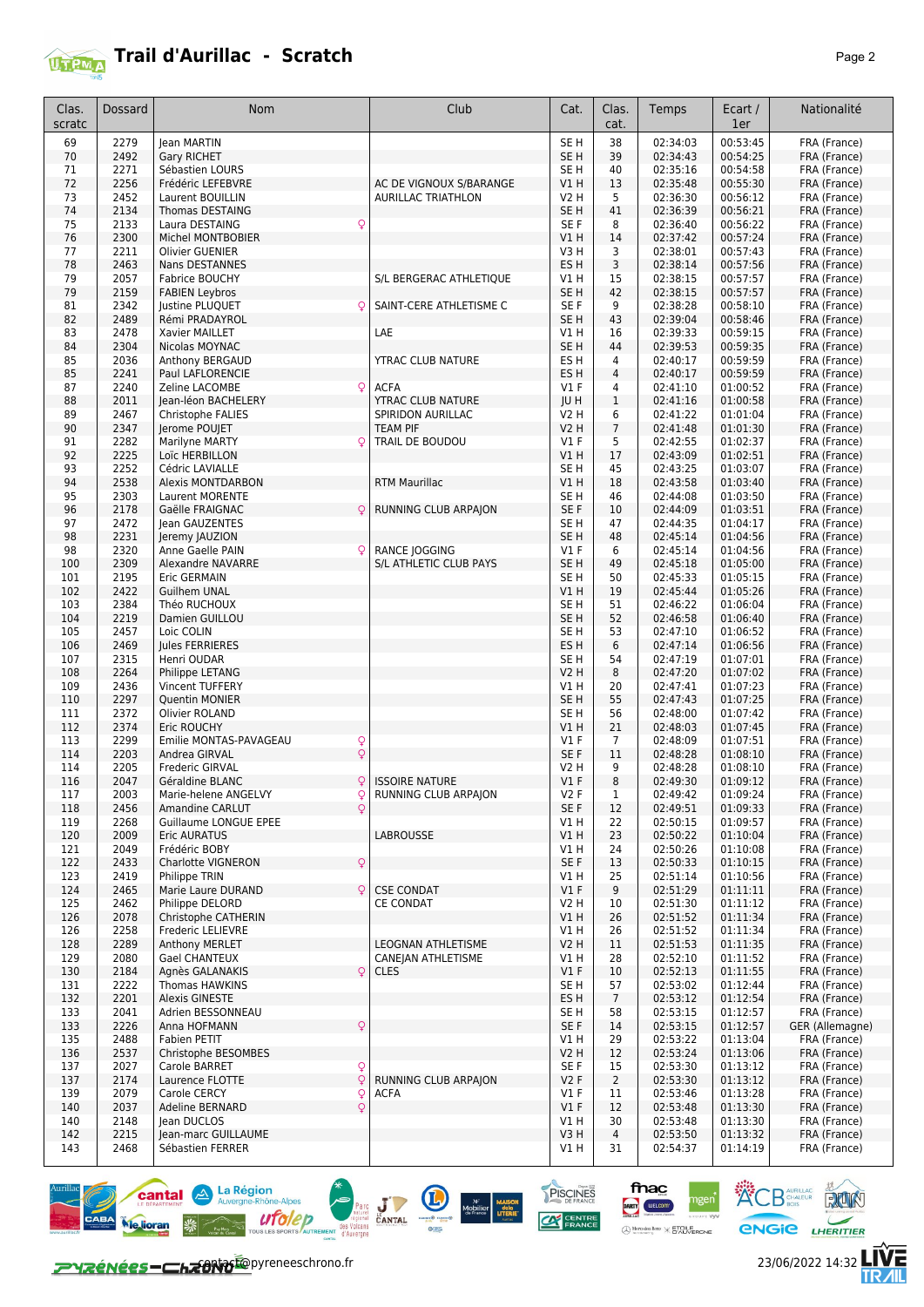

| Clas.<br>scratc | Dossard      | <b>Nom</b>                                          | Club                      | Cat.                    | Clas.<br>cat.        | Temps                | Ecart /<br>1er       | Nationalité                  |
|-----------------|--------------|-----------------------------------------------------|---------------------------|-------------------------|----------------------|----------------------|----------------------|------------------------------|
| 69              | 2279         | lean MARTIN                                         |                           | SE <sub>H</sub>         | 38                   | 02:34:03             | 00:53:45             | FRA (France)                 |
| 70              | 2492         | <b>Gary RICHET</b>                                  |                           | SE <sub>H</sub>         | 39                   | 02:34:43             | 00:54:25             | FRA (France)                 |
| 71              | 2271         | Sébastien LOURS                                     |                           | SE H                    | 40                   | 02:35:16             | 00:54:58             | FRA (France)                 |
| 72              | 2256         | Frédéric LEFEBVRE                                   | AC DE VIGNOUX S/BARANGE   | VIH                     | 13                   | 02:35:48             | 00:55:30             | FRA (France)                 |
| 73              | 2452         | Laurent BOUILLIN                                    | <b>AURILLAC TRIATHLON</b> | V2 H                    | 5                    | 02:36:30             | 00:56:12             | FRA (France)                 |
| 74              | 2134         | Thomas DESTAING                                     |                           | SE <sub>H</sub>         | 41                   | 02:36:39             | 00:56:21             | FRA (France)                 |
| 75              | 2133         | Q<br>Laura DESTAING                                 |                           | SE F                    | 8                    | 02:36:40             | 00:56:22             | FRA (France)                 |
| 76<br>77        | 2300<br>2211 | Michel MONTBOBIER<br><b>Olivier GUENIER</b>         |                           | VIH<br>V3H              | 14<br>3              | 02:37:42<br>02:38:01 | 00:57:24<br>00:57:43 | FRA (France)<br>FRA (France) |
| 78              | 2463         | Nans DESTANNES                                      |                           | ES <sub>H</sub>         | 3                    | 02:38:14             | 00:57:56             | FRA (France)                 |
| 79              | 2057         | Fabrice BOUCHY                                      | S/L BERGERAC ATHLETIQUE   | V1 H                    | 15                   | 02:38:15             | 00:57:57             | FRA (France)                 |
| 79              | 2159         | <b>FABIEN Leybros</b>                               |                           | SE <sub>H</sub>         | 42                   | 02:38:15             | 00:57:57             | FRA (France)                 |
| 81              | 2342         | Justine PLUQUET<br>Ç                                | SAINT-CERE ATHLETISME C   | SE F                    | 9                    | 02:38:28             | 00:58:10             | FRA (France)                 |
| 82              | 2489         | Rémi PRADAYROL                                      |                           | SE <sub>H</sub>         | 43                   | 02:39:04             | 00:58:46             | FRA (France)                 |
| 83              | 2478         | Xavier MAILLET                                      | LAE                       | V1 H                    | 16                   | 02:39:33             | 00:59:15             | FRA (France)                 |
| 84              | 2304         | Nicolas MOYNAC                                      |                           | SE H                    | 44                   | 02:39:53             | 00:59:35             | FRA (France)                 |
| 85<br>85        | 2036<br>2241 | Anthony BERGAUD<br>Paul LAFLORENCIE                 | YTRAC CLUB NATURE         | ES H<br>ES <sub>H</sub> | 4<br>$\overline{4}$  | 02:40:17<br>02:40:17 | 00:59:59<br>00:59:59 | FRA (France)<br>FRA (France) |
| 87              | 2240         | Q<br>Zeline LACOMBE                                 | <b>ACFA</b>               | $VI$ F                  | 4                    | 02:41:10             | 01:00:52             | FRA (France)                 |
| 88              | 2011         | Jean-léon BACHELERY                                 | YTRAC CLUB NATURE         | JU H                    | $\mathbf{1}$         | 02:41:16             | 01:00:58             | FRA (France)                 |
| 89              | 2467         | Christophe FALIES                                   | SPIRIDON AURILLAC         | <b>V2 H</b>             | 6                    | 02:41:22             | 01:01:04             | FRA (France)                 |
| 90              | 2347         | Jerome POUJET                                       | <b>TEAM PIF</b>           | <b>V2 H</b>             | $\overline{7}$       | 02:41:48             | 01:01:30             | FRA (France)                 |
| 91              | 2282         | <b>Marilyne MARTY</b>                               | TRAIL DE BOUDOU           | $VI$ F                  | 5                    | 02:42:55             | 01:02:37             | FRA (France)                 |
| 92              | 2225         | Loïc HERBILLON                                      |                           | V1H                     | 17                   | 02:43:09             | 01:02:51             | FRA (France)                 |
| 93              | 2252         | Cédric LAVIALLE                                     |                           | SE <sub>H</sub>         | 45                   | 02:43:25             | 01:03:07             | FRA (France)                 |
| 94              | 2538         | <b>Alexis MONTDARBON</b>                            | <b>RTM Maurillac</b>      | VIH                     | 18                   | 02:43:58             | 01:03:40             | FRA (France)                 |
| 95<br>96        | 2303<br>2178 | Laurent MORENTE<br>Gaëlle FRAIGNAC<br>Ç             | RUNNING CLUB ARPAJON      | SE H<br>SE F            | 46<br>10             | 02:44:08<br>02:44:09 | 01:03:50<br>01:03:51 | FRA (France)<br>FRA (France) |
| 97              | 2472         | Jean GAUZENTES                                      |                           | SE H                    | 47                   | 02:44:35             | 01:04:17             | FRA (France)                 |
| 98              | 2231         | Jeremy JAUZION                                      |                           | SE <sub>H</sub>         | 48                   | 02:45:14             | 01:04:56             | FRA (France)                 |
| 98              | 2320         | Anne Gaelle PAIN<br>Q                               | <b>RANCE JOGGING</b>      | $VI$ F                  | 6                    | 02:45:14             | 01:04:56             | FRA (France)                 |
| 100             | 2309         | <b>Alexandre NAVARRE</b>                            | S/L ATHLETIC CLUB PAYS    | SE <sub>H</sub>         | 49                   | 02:45:18             | 01:05:00             | FRA (France)                 |
| 101             | 2195         | Eric GERMAIN                                        |                           | SE <sub>H</sub>         | 50                   | 02:45:33             | 01:05:15             | FRA (France)                 |
| 102             | 2422         | <b>Guilhem UNAL</b>                                 |                           | VIH                     | 19                   | 02:45:44             | 01:05:26             | FRA (France)                 |
| 103             | 2384         | Théo RUCHOUX                                        |                           | SE H                    | 51                   | 02:46:22             | 01:06:04             | FRA (France)                 |
| 104<br>105      | 2219<br>2457 | Damien GUILLOU<br>Loic COLIN                        |                           | SE <sub>H</sub><br>SE H | 52<br>53             | 02:46:58<br>02:47:10 | 01:06:40<br>01:06:52 | FRA (France)<br>FRA (France) |
| 106             | 2469         | Jules FERRIERES                                     |                           | ES <sub>H</sub>         | 6                    | 02:47:14             | 01:06:56             | FRA (France)                 |
| 107             | 2315         | Henri OUDAR                                         |                           | SE H                    | 54                   | 02:47:19             | 01:07:01             | FRA (France)                 |
| 108             | 2264         | Philippe LETANG                                     |                           | V2 H                    | 8                    | 02:47:20             | 01:07:02             | FRA (France)                 |
| 109             | 2436         | Vincent TUFFERY                                     |                           | V1 H                    | 20                   | 02:47:41             | 01:07:23             | FRA (France)                 |
| 110             | 2297         | <b>Quentin MONIER</b>                               |                           | SE H                    | 55                   | 02:47:43             | 01:07:25             | FRA (France)                 |
| 111             | 2372         | Olivier ROLAND                                      |                           | SE H                    | 56                   | 02:48:00             | 01:07:42             | FRA (France)                 |
| 112<br>113      | 2374<br>2299 | Eric ROUCHY<br>Emilie MONTAS-PAVAGEAU               |                           | V1 H<br>$VI$ F          | 21<br>$\overline{7}$ | 02:48:03<br>02:48:09 | 01:07:45<br>01:07:51 | FRA (France)<br>FRA (France) |
| 114             | 2203         | Q<br>$\overline{Q}$<br>Andrea GIRVAL                |                           | SE F                    | 11                   | 02:48:28             | 01:08:10             | FRA (France)                 |
| 114             | 2205         | Frederic GIRVAL                                     |                           | V2 H                    | 9                    | 02:48:28             | 01:08:10             | FRA (France)                 |
| 116             | 2047         | Q<br>Géraldine BLANC                                | <b>ISSOIRE NATURE</b>     | $VI$ F                  | 8                    | 02:49:30             | 01:09:12             | FRA (France)                 |
| 117             | 2003         | Marie-helene ANGELVY<br>Q                           | RUNNING CLUB ARPAJON      | V2F                     | $\mathbf{1}$         | 02:49:42             | 01:09:24             | FRA (France)                 |
| 118             | 2456         | $\mathsf{Q}$<br>Amandine CARLUT                     |                           | SE F                    | 12                   | 02:49:51             | 01:09:33             | FRA (France)                 |
| 119             | 2268         | <b>Guillaume LONGUE EPEE</b>                        |                           | VIH                     | 22                   | 02:50:15             | 01:09:57             | FRA (France)                 |
| 120             | 2009         | Eric AURATUS                                        | LABROUSSE                 | V1H                     | 23                   | 02:50:22             | 01:10:04             | FRA (France)                 |
| 121<br>122      | 2049<br>2433 | Frédéric BOBY<br>$\mathsf{Q}$<br>Charlotte VIGNERON |                           | V1 H<br>SE F            | 24<br>13             | 02:50:26<br>02:50:33 | 01:10:08<br>01:10:15 | FRA (France)<br>FRA (France) |
| 123             | 2419         | Philippe TRIN                                       |                           | V1 H                    | 25                   | 02:51:14             | 01:10:56             | FRA (France)                 |
| 124             | 2465         | Marie Laure DURAND<br>Q                             | <b>CSE CONDAT</b>         | V1F                     | 9                    | 02:51:29             | 01:11:11             | FRA (France)                 |
| 125             | 2462         | Philippe DELORD                                     | CE CONDAT                 | V2 H                    | 10                   | 02:51:30             | 01:11:12             | FRA (France)                 |
| 126             | 2078         | Christophe CATHERIN                                 |                           | V1H                     | 26                   | 02:51:52             | 01:11:34             | FRA (France)                 |
| 126             | 2258         | Frederic LELIEVRE                                   |                           | V1 H                    | 26                   | 02:51:52             | 01:11:34             | FRA (France)                 |
| 128             | 2289         | Anthony MERLET                                      | <b>LEOGNAN ATHLETISME</b> | <b>V2 H</b>             | 11                   | 02:51:53             | 01:11:35             | FRA (France)                 |
| 129             | 2080<br>2184 | Gael CHANTEUX<br>Agnès GALANAKIS<br>Q               | CANEJAN ATHLETISME        | V1 H<br>V1F             | 28                   | 02:52:10<br>02:52:13 | 01:11:52<br>01:11:55 | FRA (France)<br>FRA (France) |
| 130<br>131      | 2222         | Thomas HAWKINS                                      | <b>CLES</b>               | SE H                    | 10<br>57             | 02:53:02             | 01:12:44             | FRA (France)                 |
| 132             | 2201         | <b>Alexis GINESTE</b>                               |                           | ES H                    | $7\overline{ }$      | 02:53:12             | 01:12:54             | FRA (France)                 |
| 133             | 2041         | Adrien BESSONNEAU                                   |                           | SE H                    | 58                   | 02:53:15             | 01:12:57             | FRA (France)                 |
| 133             | 2226         | $\mathsf{Q}$<br>Anna HOFMANN                        |                           | SE F                    | 14                   | 02:53:15             | 01:12:57             | GER (Allemagne)              |
| 135             | 2488         | Fabien PETIT                                        |                           | V1 H                    | 29                   | 02:53:22             | 01:13:04             | FRA (France)                 |
| 136             | 2537         | Christophe BESOMBES                                 |                           | <b>V2 H</b>             | 12                   | 02:53:24             | 01:13:06             | FRA (France)                 |
| 137             | 2027         | Q<br>Carole BARRET                                  | RUNNING CLUB ARPAION      | SE F                    | 15                   | 02:53:30             | 01:13:12             | FRA (France)                 |
| 137<br>139      | 2174<br>2079 | Q<br>Laurence FLOTTE<br>Carole CERCY<br>Q           | <b>ACFA</b>               | V2F<br>$VI$ F           | $\overline{2}$<br>11 | 02:53:30<br>02:53:46 | 01:13:12<br>01:13:28 | FRA (France)<br>FRA (France) |
| 140             | 2037         | $\mathsf{Q}$<br><b>Adeline BERNARD</b>              |                           | V1F                     | 12                   | 02:53:48             | 01:13:30             | FRA (France)                 |
| 140             | 2148         | Jean DUCLOS                                         |                           | V1 H                    | 30                   | 02:53:48             | 01:13:30             | FRA (France)                 |
| 142             | 2215         | Jean-marc GUILLAUME                                 |                           | V3H                     | $\overline{4}$       | 02:53:50             | 01:13:32             | FRA (France)                 |
| 143             | 2468         | Sébastien FERRER                                    |                           | V1 H                    | 31                   | 02:54:37             | 01:14:19             | FRA (France)                 |





**ACB** AURILLAC ROOM

**ENGIE LHERITIER** 

左<br>孤

 $fracc$ 

ngen<sup>\*</sup>

DARTY WELCOM

 $\bigoplus \underset{w: \text{otherwise } \mathbb{R}}{\text{Merodes } \text{Renz}} \times \underset{w}{\text{ETOLERONE}}$ 

PISCINES

**CAN CENTRE**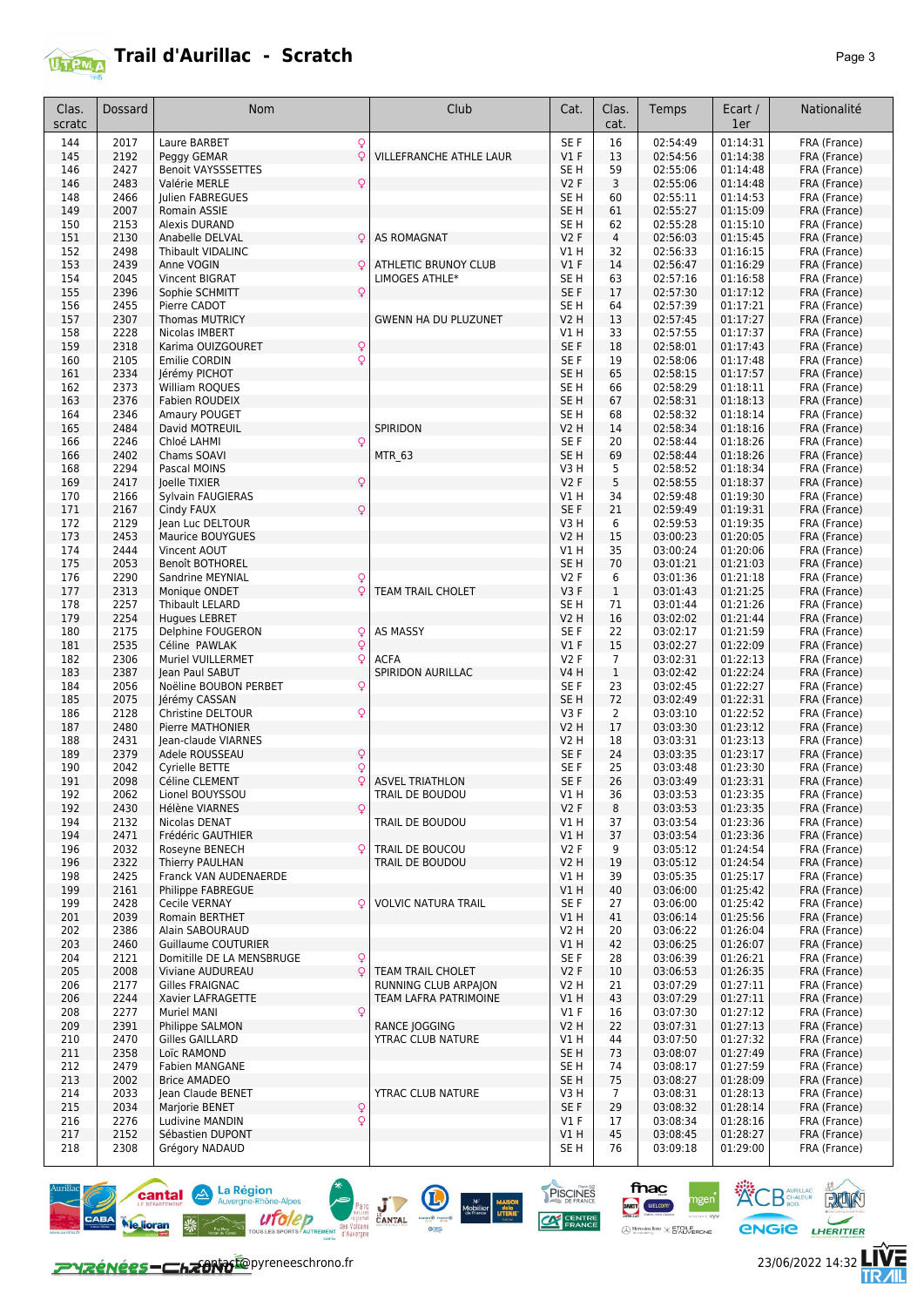

| Clas.      | Dossard      | <b>Nom</b>                                              | Club                        | Cat.                     | Clas.             | Temps                | Ecart /              | Nationalité                  |
|------------|--------------|---------------------------------------------------------|-----------------------------|--------------------------|-------------------|----------------------|----------------------|------------------------------|
| scratc     |              |                                                         |                             |                          | cat.              |                      | 1er                  |                              |
| 144        | 2017         | Q<br>Laure BARBET                                       |                             | SE F                     | 16                | 02:54:49             | 01:14:31             | FRA (France)                 |
| 145        | 2192         | $\circ$<br>Peggy GEMAR                                  | VILLEFRANCHE ATHLE LAUR     | $VI$ F                   | 13                | 02:54:56             | 01:14:38             | FRA (France)                 |
| 146        | 2427         | <b>Benoit VAYSSSETTES</b>                               |                             | SE H                     | 59                | 02:55:06             | 01:14:48             | FRA (France)                 |
| 146        | 2483         | Q<br>Valérie MERLE                                      |                             | <b>V2F</b>               | 3                 | 02:55:06             | 01:14:48             | FRA (France)                 |
| 148        | 2466         | Julien FABREGUES                                        |                             | SE H                     | 60                | 02:55:11             | 01:14:53             | FRA (France)                 |
| 149        | 2007         | Romain ASSIE                                            |                             | SE <sub>H</sub>          | 61                | 02:55:27             | 01:15:09             | FRA (France)                 |
| 150<br>151 | 2153<br>2130 | Alexis DURAND<br>Anabelle DELVAL<br>Q                   | <b>AS ROMAGNAT</b>          | SE H<br>V <sub>2</sub> F | 62<br>4           | 02:55:28<br>02:56:03 | 01:15:10<br>01:15:45 | FRA (France)<br>FRA (France) |
| 152        | 2498         | Thibault VIDALINC                                       |                             | V1 H                     | 32                | 02:56:33             | 01:16:15             | FRA (France)                 |
| 153        | 2439         | O<br>Anne VOGIN                                         | <b>ATHLETIC BRUNOY CLUB</b> | $VI$ F                   | 14                | 02:56:47             | 01:16:29             | FRA (France)                 |
| 154        | 2045         | Vincent BIGRAT                                          | LIMOGES ATHLE*              | SE H                     | 63                | 02:57:16             | 01:16:58             | FRA (France)                 |
| 155        | 2396         | Q<br>Sophie SCHMITT                                     |                             | SE F                     | 17                | 02:57:30             | 01:17:12             | FRA (France)                 |
| 156        | 2455         | Pierre CADOT                                            |                             | SE H                     | 64                | 02:57:39             | 01:17:21             | FRA (France)                 |
| 157        | 2307         | <b>Thomas MUTRICY</b>                                   | <b>GWENN HA DU PLUZUNET</b> | <b>V2 H</b>              | 13                | 02:57:45             | 01:17:27             | FRA (France)                 |
| 158        | 2228         | Nicolas IMBERT                                          |                             | V1 H                     | 33                | 02:57:55             | 01:17:37             | FRA (France)                 |
| 159        | 2318         | $\mathsf{Q}$<br>Karima OUIZGOURET                       |                             | SE F                     | 18                | 02:58:01             | 01:17:43             | FRA (France)                 |
| 160        | 2105         | Q<br>Emilie CORDIN                                      |                             | SE F                     | 19                | 02:58:06             | 01:17:48             | FRA (France)                 |
| 161        | 2334         | Jérémy PICHOT                                           |                             | SE <sub>H</sub>          | 65                | 02:58:15             | 01:17:57             | FRA (France)                 |
| 162<br>163 | 2373<br>2376 | William ROQUES<br>Fabien ROUDEIX                        |                             | SE H<br>SE <sub>H</sub>  | 66<br>67          | 02:58:29<br>02:58:31 | 01:18:11<br>01:18:13 | FRA (France)                 |
| 164        | 2346         | Amaury POUGET                                           |                             | SE H                     | 68                | 02:58:32             | 01:18:14             | FRA (France)<br>FRA (France) |
| 165        | 2484         | David MOTREUIL                                          | SPIRIDON                    | V2 H                     | 14                | 02:58:34             | 01:18:16             | FRA (France)                 |
| 166        | 2246         | Chloé LAHMI<br>Q                                        |                             | SE F                     | 20                | 02:58:44             | 01:18:26             | FRA (France)                 |
| 166        | 2402         | Chams SOAVI                                             | <b>MTR 63</b>               | SE <sub>H</sub>          | 69                | 02:58:44             | 01:18:26             | FRA (France)                 |
| 168        | 2294         | Pascal MOINS                                            |                             | V3 H                     | 5                 | 02:58:52             | 01:18:34             | FRA (France)                 |
| 169        | 2417         | Joelle TIXIER<br>Q                                      |                             | <b>V2F</b>               | 5                 | 02:58:55             | 01:18:37             | FRA (France)                 |
| 170        | 2166         | Sylvain FAUGIERAS                                       |                             | V1 H                     | 34                | 02:59:48             | 01:19:30             | FRA (France)                 |
| 171        | 2167         | Cindy FAUX<br>Q                                         |                             | SE F                     | 21                | 02:59:49             | 01:19:31             | FRA (France)                 |
| 172        | 2129         | Jean Luc DELTOUR                                        |                             | V3H                      | 6                 | 02:59:53             | 01:19:35             | FRA (France)                 |
| 173        | 2453         | Maurice BOUYGUES                                        |                             | V2 H                     | 15                | 03:00:23             | 01:20:05             | FRA (France)                 |
| 174        | 2444         | Vincent AOUT                                            |                             | V1 H                     | 35                | 03:00:24             | 01:20:06             | FRA (France)                 |
| 175        | 2053         | <b>Benoît BOTHOREL</b>                                  |                             | SE <sub>H</sub>          | 70                | 03:01:21             | 01:21:03             | FRA (France)                 |
| 176        | 2290         | Sandrine MEYNIAL<br>Q<br>Q                              | TEAM TRAIL CHOLET           | V2 F                     | 6<br>$\mathbf{1}$ | 03:01:36             | 01:21:18<br>01:21:25 | FRA (France)                 |
| 177<br>178 | 2313<br>2257 | Monique ONDET<br>Thibault LELARD                        |                             | V3F<br>SE H              | 71                | 03:01:43<br>03:01:44 | 01:21:26             | FRA (France)<br>FRA (France) |
| 179        | 2254         | <b>Hugues LEBRET</b>                                    |                             | <b>V2 H</b>              | 16                | 03:02:02             | 01:21:44             | FRA (France)                 |
| 180        | 2175         | Delphine FOUGERON<br>Q                                  | <b>AS MASSY</b>             | SE F                     | 22                | 03:02:17             | 01:21:59             | FRA (France)                 |
| 181        | 2535         | Q<br>Céline PAWLAK                                      |                             | $VI$ F                   | 15                | 03:02:27             | 01:22:09             | FRA (France)                 |
| 182        | 2306         | Muriel VUILLERMET<br>Q                                  | <b>ACFA</b>                 | <b>V2F</b>               | $\overline{7}$    | 03:02:31             | 01:22:13             | FRA (France)                 |
| 183        | 2387         | Jean Paul SABUT                                         | SPIRIDON AURILLAC           | <b>V4 H</b>              | $\mathbf{1}$      | 03:02:42             | 01:22:24             | FRA (France)                 |
| 184        | 2056         | Noëline BOUBON PERBET<br>Q                              |                             | SE F                     | 23                | 03:02:45             | 01:22:27             | FRA (France)                 |
| 185        | 2075         | Jérémy CASSAN                                           |                             | SE <sub>H</sub>          | 72                | 03:02:49             | 01:22:31             | FRA (France)                 |
| 186        | 2128         | Christine DELTOUR<br>Q                                  |                             | V3 F                     | 2                 | 03:03:10             | 01:22:52             | FRA (France)                 |
| 187        | 2480         | Pierre MATHONIER                                        |                             | V2 H                     | 17                | 03:03:30             | 01:23:12             | FRA (France)                 |
| 188        | 2431         | Iean-claude VIARNES                                     |                             | V2 H                     | 18                | 03:03:31             | 01:23:13             | FRA (France)                 |
| 189        | 2379<br>2042 | Q<br>Adele ROUSSEAU                                     |                             | SE F                     | 24<br>25          | 03:03:35<br>03:03:48 | 01:23:17<br>01:23:30 | FRA (France)                 |
| 190<br>191 | 2098         | Q<br>Cyrielle BETTE<br>Q<br>Céline CLEMENT              | <b>ASVEL TRIATHLON</b>      | SE F<br>SE F             | 26                | 03:03:49             | 01:23:31             | FRA (France)<br>FRA (France) |
| 192        | 2062         | Lionel BOUYSSOU                                         | TRAIL DE BOUDOU             | VIH                      | 36                | 03:03:53             | 01:23:35             | FRA (France)                 |
| 192        | 2430         | Q<br>Hélène VIARNES                                     |                             | V2F                      | 8                 | 03:03:53             | 01:23:35             | FRA (France)                 |
| 194        | 2132         | Nicolas DENAT                                           | TRAIL DE BOUDOU             | V1 H                     | 37                | 03:03:54             | 01:23:36             | FRA (France)                 |
| 194        | 2471         | Frédéric GAUTHIER                                       |                             | V1 H                     | 37                | 03:03:54             | 01:23:36             | FRA (France)                 |
| 196        | 2032         | Roseyne BENECH<br>Q                                     | TRAIL DE BOUCOU             | V2F                      | 9                 | 03:05:12             | 01:24:54             | FRA (France)                 |
| 196        | 2322         | Thierry PAULHAN                                         | TRAIL DE BOUDOU             | V2 H                     | 19                | 03:05:12             | 01:24:54             | FRA (France)                 |
| 198        | 2425         | Franck VAN AUDENAERDE                                   |                             | V1 H                     | 39                | 03:05:35             | 01:25:17             | FRA (France)                 |
| 199        | 2161         | Philippe FABREGUE                                       |                             | V1 H                     | 40                | 03:06:00             | 01:25:42             | FRA (France)                 |
| 199        | 2428         | Q<br>Cecile VERNAY                                      | <b>VOLVIC NATURA TRAIL</b>  | SE F                     | 27                | 03:06:00             | 01:25:42             | FRA (France)                 |
| 201        | 2039         | Romain BERTHET                                          |                             | V1 H                     | 41                | 03:06:14             | 01:25:56             | FRA (France)                 |
| 202        | 2386         | Alain SABOURAUD                                         |                             | V2 H                     | 20                | 03:06:22             | 01:26:04             | FRA (France)                 |
| 203        | 2460         | <b>Guillaume COUTURIER</b>                              |                             | V1H                      | 42                | 03:06:25             | 01:26:07             | FRA (France)                 |
| 204<br>205 | 2121<br>2008 | Domitille DE LA MENSBRUGE<br>Q<br>Q<br>Viviane AUDUREAU | <b>TEAM TRAIL CHOLET</b>    | SE F<br>V <sub>2</sub> F | 28<br>10          | 03:06:39<br>03:06:53 | 01:26:21<br>01:26:35 | FRA (France)<br>FRA (France) |
| 206        | 2177         | Gilles FRAIGNAC                                         | RUNNING CLUB ARPAJON        | V2 H                     | 21                | 03:07:29             | 01:27:11             | FRA (France)                 |
| 206        | 2244         | Xavier LAFRAGETTE                                       | TEAM LAFRA PATRIMOINE       | V1H                      | 43                | 03:07:29             | 01:27:11             | FRA (France)                 |
| 208        | 2277         | Q<br><b>Muriel MANI</b>                                 |                             | $VI$ F                   | 16                | 03:07:30             | 01:27:12             | FRA (France)                 |
| 209        | 2391         | Philippe SALMON                                         | <b>RANCE JOGGING</b>        | <b>V2 H</b>              | 22                | 03:07:31             | 01:27:13             | FRA (France)                 |
| 210        | 2470         | Gilles GAILLARD                                         | YTRAC CLUB NATURE           | V1 H                     | 44                | 03:07:50             | 01:27:32             | FRA (France)                 |
| 211        | 2358         | Loïc RAMOND                                             |                             | SE <sub>H</sub>          | 73                | 03:08:07             | 01:27:49             | FRA (France)                 |
| 212        | 2479         | <b>Fabien MANGANE</b>                                   |                             | SE H                     | 74                | 03:08:17             | 01:27:59             | FRA (France)                 |
| 213        | 2002         | <b>Brice AMADEO</b>                                     |                             | SE <sub>H</sub>          | 75                | 03:08:27             | 01:28:09             | FRA (France)                 |
| 214        | 2033         | Jean Claude BENET                                       | YTRAC CLUB NATURE           | V3H                      | $\overline{7}$    | 03:08:31             | 01:28:13             | FRA (France)                 |
| 215        | 2034         | Q<br>Marjorie BENET                                     |                             | SE F                     | 29                | 03:08:32             | 01:28:14             | FRA (France)                 |
| 216        | 2276         | Ludivine MANDIN<br>Q                                    |                             | $VI$ F                   | 17                | 03:08:34             | 01:28:16             | FRA (France)                 |
| 217        | 2152         | Sébastien DUPONT                                        |                             | V1H                      | 45                | 03:08:45             | 01:28:27             | FRA (France)                 |
| 218        | 2308         | Grégory NADAUD                                          |                             | SE <sub>H</sub>          | 76                | 03:09:18             | 01:29:00             | FRA (France)                 |





ngen<sup>\*</sup>

fnac

DARTY WELCOM

PISCINES

**CAN CENTRE** 

人<br>儿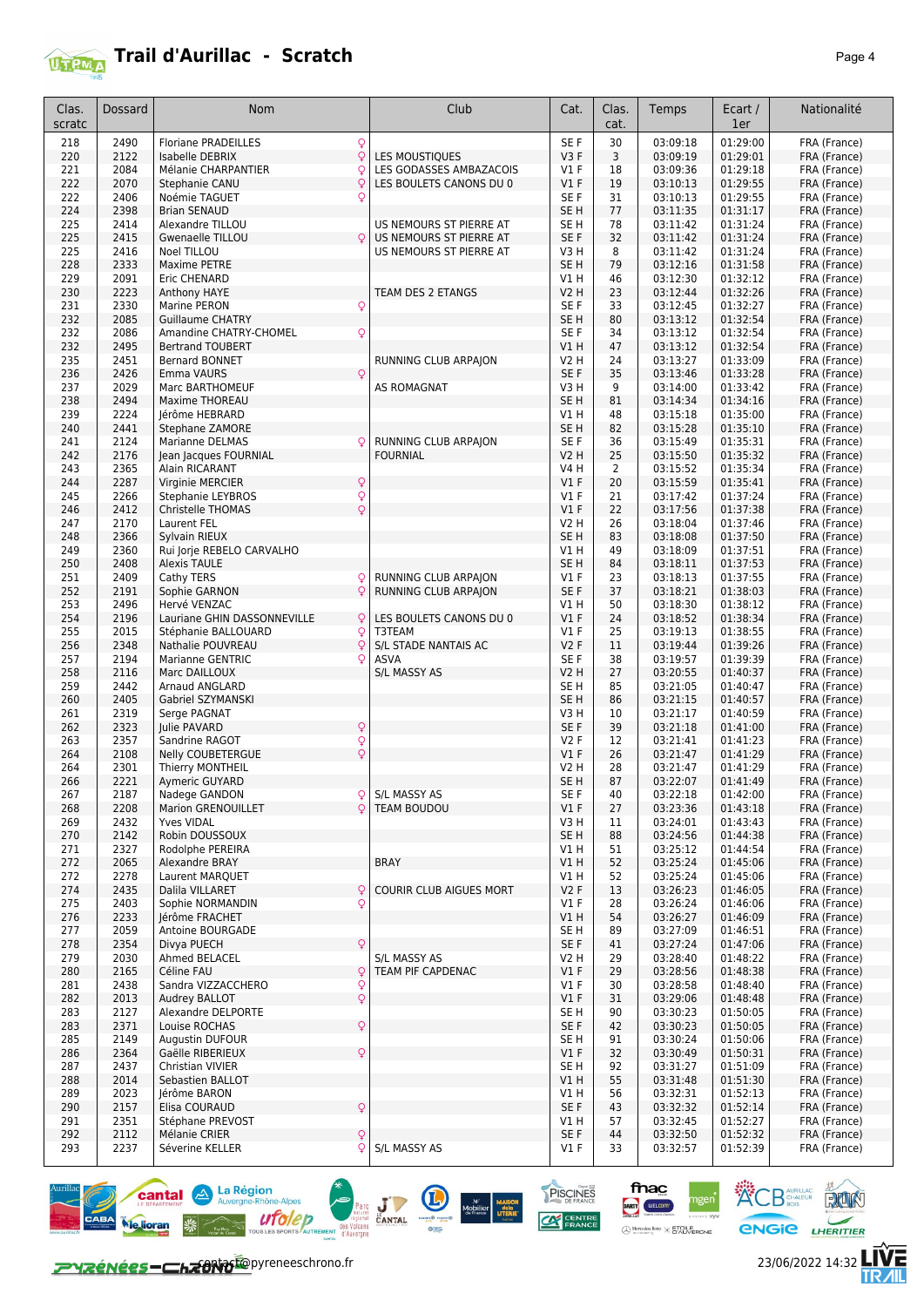

| Clas.<br>scratc | Dossard | Nom                                     |              | Club                     | Cat.            | Clas.<br>cat.  | Temps                | Ecart /<br>1er | Nationalité  |
|-----------------|---------|-----------------------------------------|--------------|--------------------------|-----------------|----------------|----------------------|----------------|--------------|
| 218             | 2490    | <b>Floriane PRADEILLES</b>              | Q            |                          | SE F            | 30             | 03:09:18             | 01:29:00       | FRA (France) |
| 220             | 2122    | <b>Isabelle DEBRIX</b>                  | $\mathsf{Q}$ | LES MOUSTIQUES           | V3F             | 3              | 03:09:19             | 01:29:01       | FRA (France) |
| 221             | 2084    | Mélanie CHARPANTIER                     | Q            | LES GODASSES AMBAZACOIS  | $VI$ F          | 18             | 03:09:36             | 01:29:18       | FRA (France) |
| 222             | 2070    | Stephanie CANU                          | $\circ$      | LES BOULETS CANONS DU 0  | $VI$ F          | 19             | 03:10:13             | 01:29:55       | FRA (France) |
| 222             | 2406    | Noémie TAGUET                           | Q            |                          | SE F            | 31             | 03:10:13             | 01:29:55       | FRA (France) |
| 224             | 2398    | <b>Brian SENAUD</b>                     |              |                          | SE H            | 77             | 03:11:35             | 01:31:17       | FRA (France) |
| 225             | 2414    | Alexandre TILLOU                        |              | US NEMOURS ST PIERRE AT  | SE H            | 78             | 03:11:42             | 01:31:24       | FRA (France) |
| 225             | 2415    | Gwenaelle TILLOU                        | $\circ$      | US NEMOURS ST PIERRE AT  | SE F            | 32             | 03:11:42             | 01:31:24       | FRA (France) |
| 225             | 2416    | Noel TILLOU                             |              | US NEMOURS ST PIERRE AT  | V3H             | 8              | 03:11:42             | 01:31:24       | FRA (France) |
| 228             | 2333    | <b>Maxime PETRE</b>                     |              |                          | SE <sub>H</sub> | 79             | 03:12:16             | 01:31:58       | FRA (France) |
| 229             | 2091    | Eric CHENARD                            |              |                          | V1 H            | 46             | 03:12:30             | 01:32:12       | FRA (France) |
| 230             | 2223    |                                         |              | TEAM DES 2 ETANGS        | V2 H            | 23             | 03:12:44             | 01:32:26       | FRA (France) |
|                 | 2330    | Anthony HAYE                            | Q            |                          | SE F            |                |                      | 01:32:27       |              |
| 231<br>232      | 2085    | Marine PERON<br><b>Guillaume CHATRY</b> |              |                          | SE <sub>H</sub> | 33<br>80       | 03:12:45<br>03:13:12 | 01:32:54       | FRA (France) |
|                 | 2086    |                                         |              |                          |                 |                |                      | 01:32:54       | FRA (France) |
| 232             |         | Amandine CHATRY-CHOMEL                  | Q            |                          | SE F            | 34             | 03:13:12             |                | FRA (France) |
| 232             | 2495    | <b>Bertrand TOUBERT</b>                 |              |                          | V1 H            | 47             | 03:13:12             | 01:32:54       | FRA (France) |
| 235             | 2451    | Bernard BONNET                          |              | RUNNING CLUB ARPAJON     | <b>V2 H</b>     | 24             | 03:13:27             | 01:33:09       | FRA (France) |
| 236             | 2426    | Emma VAURS                              |              |                          | SE F            | 35             | 03:13:46             | 01:33:28       | FRA (France) |
| 237             | 2029    | Marc BARTHOMEUF                         |              | AS ROMAGNAT              | V3H             | 9              | 03:14:00             | 01:33:42       | FRA (France) |
| 238             | 2494    | Maxime THOREAU                          |              |                          | SE <sub>H</sub> | 81             | 03:14:34             | 01:34:16       | FRA (France) |
| 239             | 2224    | Jérôme HEBRARD                          |              |                          | V1H             | 48             | 03:15:18             | 01:35:00       | FRA (France) |
| 240             | 2441    | <b>Stephane ZAMORE</b>                  |              |                          | SE <sub>H</sub> | 82             | 03:15:28             | 01:35:10       | FRA (France) |
| 241             | 2124    | <b>Marianne DELMAS</b>                  | Q            | RUNNING CLUB ARPAJON     | SE F            | 36             | 03:15:49             | 01:35:31       | FRA (France) |
| 242             | 2176    | Jean Jacques FOURNIAL                   |              | <b>FOURNIAL</b>          | V2 H            | 25             | 03:15:50             | 01:35:32       | FRA (France) |
| 243             | 2365    | Alain RICARANT                          |              |                          | V4 H            | $\overline{2}$ | 03:15:52             | 01:35:34       | FRA (France) |
| 244             | 2287    | Virginie MERCIER                        | Q            |                          | $VI$ F          | 20             | 03:15:59             | 01:35:41       | FRA (France) |
| 245             | 2266    | Stephanie LEYBROS                       | Q            |                          | $VI$ F          | 21             | 03:17:42             | 01:37:24       | FRA (France) |
| 246             | 2412    | Christelle THOMAS                       | Q            |                          | $VI$ F          | 22             | 03:17:56             | 01:37:38       | FRA (France) |
| 247             | 2170    | Laurent FEL                             |              |                          | <b>V2 H</b>     | 26             | 03:18:04             | 01:37:46       | FRA (France) |
| 248             | 2366    | Sylvain RIEUX                           |              |                          | SE H            | 83             | 03:18:08             | 01:37:50       | FRA (France) |
| 249             | 2360    | Rui Jorje REBELO CARVALHO               |              |                          | V1 H            | 49             | 03:18:09             | 01:37:51       | FRA (France) |
| 250             | 2408    | <b>Alexis TAULE</b>                     |              |                          | SE <sub>H</sub> | 84             | 03:18:11             | 01:37:53       | FRA (France) |
| 251             | 2409    | Cathy TERS                              | Q            | RUNNING CLUB ARPAJON     | $VI$ F          | 23             | 03:18:13             | 01:37:55       | FRA (France) |
| 252             | 2191    | Sophie GARNON                           | $\mathsf{Q}$ | RUNNING CLUB ARPAJON     | SE F            | 37             | 03:18:21             | 01:38:03       | FRA (France) |
| 253             | 2496    | Hervé VENZAC                            |              |                          | V1 H            | 50             | 03:18:30             | 01:38:12       | FRA (France) |
| 254             | 2196    | Lauriane GHIN DASSONNEVILLE             | Q            | LES BOULETS CANONS DU 0  | V1F             | 24             | 03:18:52             | 01:38:34       | FRA (France) |
| 255             | 2015    | Stéphanie BALLOUARD                     | Q            | T3TEAM                   | $VI$ F          | 25             | 03:19:13             | 01:38:55       | FRA (France) |
| 256             | 2348    |                                         | Q            | S/L STADE NANTAIS AC     | V2F             | 11             | 03:19:44             | 01:39:26       | FRA (France) |
|                 |         | Nathalie POUVREAU                       | Q            |                          |                 |                |                      |                |              |
| 257             | 2194    | <b>Marianne GENTRIC</b>                 |              | <b>ASVA</b>              | SE F            | 38             | 03:19:57             | 01:39:39       | FRA (France) |
| 258             | 2116    | Marc DAILLOUX                           |              | <b>S/L MASSY AS</b>      | V2 H            | 27             | 03:20:55             | 01:40:37       | FRA (France) |
| 259             | 2442    | Arnaud ANGLARD                          |              |                          | SE H            | 85             | 03:21:05             | 01:40:47       | FRA (France) |
| 260             | 2405    | Gabriel SZYMANSKI                       |              |                          | SE <sub>H</sub> | 86             | 03:21:15             | 01:40:57       | FRA (France) |
| 261             | 2319    | Serge PAGNAT                            |              |                          | V3H             | 10             | 03:21:17             | 01:40:59       | FRA (France) |
| 262             | 2323    | Julie PAVARD                            | Q            |                          | SE F            | 39             | 03:21:18             | 01:41:00       | FRA (France) |
| 263             | 2357    | Sandrine RAGOT                          | Q            |                          | V2F             | 12             | 03:21:41             | 01:41:23       | FRA (France) |
| 264             | 2108    | Nelly COUBETERGUE                       | Q            |                          | $VI$ F          | 26             | 03:21:47             | 01:41:29       | FRA (France) |
| 264             | 2301    | <b>Thierry MONTHEIL</b>                 |              |                          | <b>V2 H</b>     | 28             | 03:21:47             | 01:41:29       | FRA (France) |
| 266             | 2221    | Aymeric GUYARD                          |              |                          | SE <sub>H</sub> | 87             | 03:22:07             | 01:41:49       | FRA (France) |
| 267             | 2187    | Nadege GANDON                           | O.           | S/L MASSY AS             | SE F            | 40             | 03:22:18             | 01:42:00       | FRA (France) |
| 268             | 2208    | Marion GRENOUILLET                      | Q            | TEAM BOUDOU              | $VI$ F          | 27             | 03:23:36             | 01:43:18       | FRA (France) |
| 269             | 2432    | <b>Yves VIDAL</b>                       |              |                          | V3H             | 11             | 03:24:01             | 01:43:43       | FRA (France) |
| 270             | 2142    | Robin DOUSSOUX                          |              |                          | SE H            | 88             | 03:24:56             | 01:44:38       | FRA (France) |
| 271             | 2327    | Rodolphe PEREIRA                        |              |                          | V1 H            | 51             | 03:25:12             | 01:44:54       | FRA (France) |
| 272             | 2065    | Alexandre BRAY                          |              | <b>BRAY</b>              | V1H             | 52             | 03:25:24             | 01:45:06       | FRA (France) |
| 272             | 2278    | Laurent MARQUET                         |              |                          | V1 H            | 52             | 03:25:24             | 01:45:06       | FRA (France) |
| 274             | 2435    | Dalila VILLARET                         | Q            | COURIR CLUB AIGUES MORT  | V2F             | 13             | 03:26:23             | 01:46:05       | FRA (France) |
| 275             | 2403    | Sophie NORMANDIN                        | Q            |                          | $VI$ F          | 28             | 03:26:24             | 01:46:06       | FRA (France) |
| 276             | 2233    | Jérôme FRACHET                          |              |                          | V1H             | 54             | 03:26:27             | 01:46:09       | FRA (France) |
| 277             | 2059    | Antoine BOURGADE                        |              |                          | SE H            | 89             | 03:27:09             | 01:46:51       | FRA (France) |
| 278             | 2354    | Divya PUECH                             | Q            |                          | SE F            | 41             | 03:27:24             | 01:47:06       | FRA (France) |
| 279             | 2030    | Ahmed BELACEL                           |              | <b>S/L MASSY AS</b>      | V2 H            | 29             | 03:28:40             | 01:48:22       | FRA (France) |
| 280             | 2165    | Céline FAU                              | Q            | <b>TEAM PIF CAPDENAC</b> | V1F             | 29             | 03:28:56             | 01:48:38       | FRA (France) |
| 281             | 2438    | Sandra VIZZACCHERO                      | Q            |                          | $VI$ F          | 30             | 03:28:58             | 01:48:40       | FRA (France) |
| 282             | 2013    | Audrey BALLOT                           | Q            |                          | $VI$ F          | 31             | 03:29:06             | 01:48:48       | FRA (France) |
| 283             | 2127    | Alexandre DELPORTE                      |              |                          | SE H            | 90             | 03:30:23             | 01:50:05       | FRA (France) |
|                 |         |                                         |              |                          |                 |                |                      |                |              |
| 283             | 2371    | Louise ROCHAS                           | Q            |                          | SE F            | 42             | 03:30:23             | 01:50:05       | FRA (France) |
| 285             | 2149    | <b>Augustin DUFOUR</b>                  |              |                          | SE H            | 91             | 03:30:24             | 01:50:06       | FRA (France) |
| 286             | 2364    | Gaëlle RIBERIEUX                        | Q            |                          | $VI$ F          | 32             | 03:30:49             | 01:50:31       | FRA (France) |
| 287             | 2437    | Christian VIVIER                        |              |                          | SE <sub>H</sub> | 92             | 03:31:27             | 01:51:09       | FRA (France) |
| 288             | 2014    | Sebastien BALLOT                        |              |                          | V1H             | 55             | 03:31:48             | 01:51:30       | FRA (France) |
| 289             | 2023    | Jérôme BARON                            |              |                          | V1 H            | 56             | 03:32:31             | 01:52:13       | FRA (France) |
| 290             | 2157    | Elisa COURAUD                           | Q            |                          | SE F            | 43             | 03:32:32             | 01:52:14       | FRA (France) |
| 291             | 2351    | Stéphane PREVOST                        |              |                          | V1 H            | 57             | 03:32:45             | 01:52:27       | FRA (France) |
| 292             | 2112    | Mélanie CRIER                           | Q            |                          | SE F            | 44             | 03:32:50             | 01:52:32       | FRA (France) |
| 293             | 2237    | Séverine KELLER                         | ç            | S/L MASSY AS             | $VI$ F          | 33             | 03:32:57             | 01:52:39       | FRA (France) |





PISCINES **CAN CENTRE** 





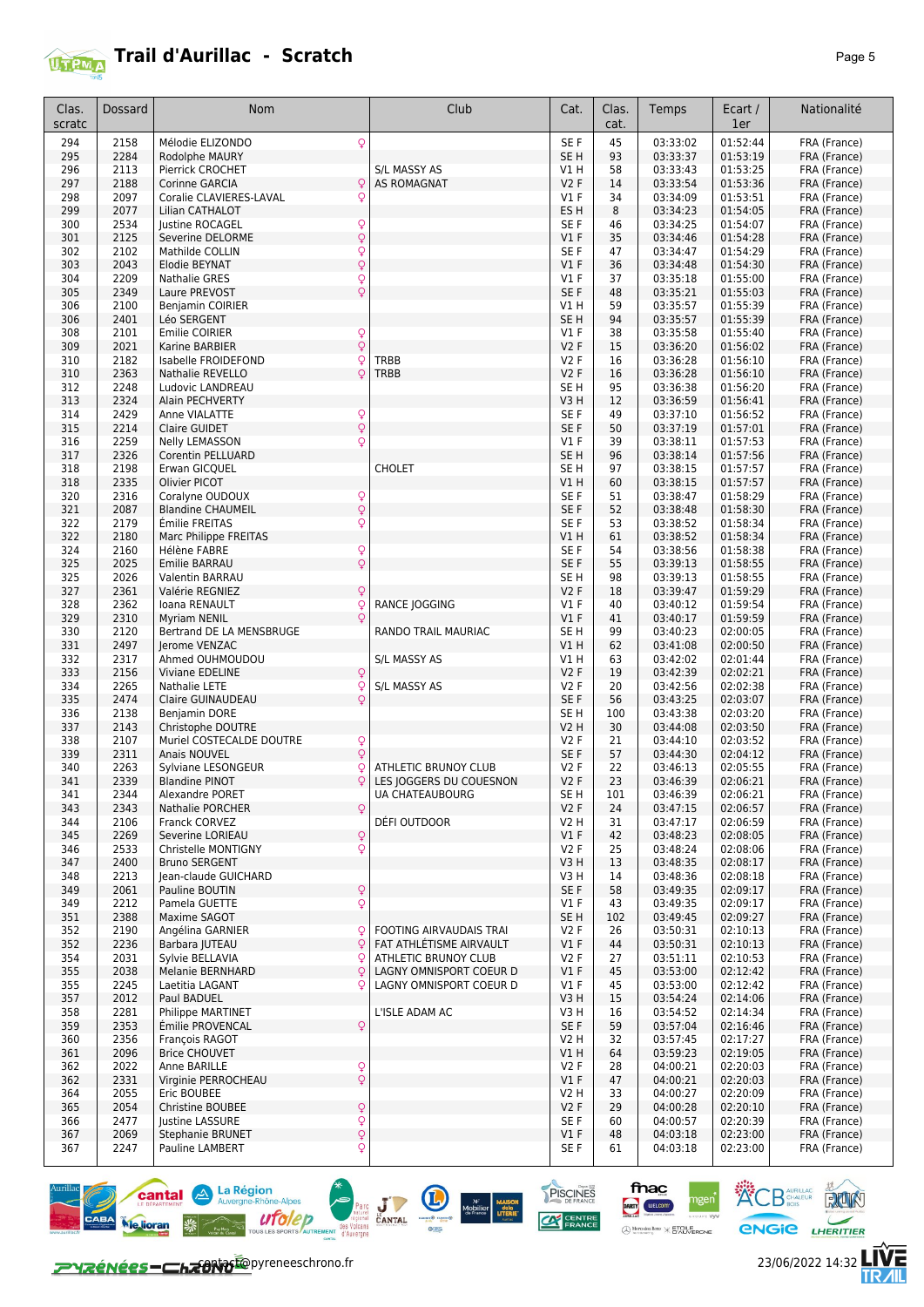

| Clas.<br>scratc | Dossard      | <b>Nom</b>                                                         | Club                                            | Cat.               | Clas.<br>cat. | Temps                | Ecart /<br>1er       | Nationalité                  |
|-----------------|--------------|--------------------------------------------------------------------|-------------------------------------------------|--------------------|---------------|----------------------|----------------------|------------------------------|
| 294             | 2158         | Q<br>Mélodie ELIZONDO                                              |                                                 | SE F               | 45            | 03:33:02             | 01:52:44             | FRA (France)                 |
| 295             | 2284         | Rodolphe MAURY                                                     |                                                 | SE <sub>H</sub>    | 93            | 03:33:37             | 01:53:19             | FRA (France)                 |
| 296             | 2113         | Pierrick CROCHET                                                   | S/L MASSY AS                                    | V1 H               | 58            | 03:33:43             | 01:53:25             | FRA (France)                 |
| 297             | 2188         | Q<br>Corinne GARCIA                                                | <b>AS ROMAGNAT</b>                              | <b>V2F</b>         | 14            | 03:33:54             | 01:53:36             | FRA (France)                 |
| 298             | 2097         | Coralie CLAVIERES-LAVAL<br>Q                                       |                                                 | $VI$ F             | 34            | 03:34:09             | 01:53:51             | FRA (France)                 |
| 299             | 2077         | Lilian CATHALOT                                                    |                                                 | ES H               | 8             | 03:34:23             | 01:54:05             | FRA (France)                 |
| 300             | 2534         | Justine ROCAGEL<br>Q                                               |                                                 | SE F               | 46            | 03:34:25             | 01:54:07             | FRA (France)                 |
| 301             | 2125<br>2102 | $\hbox{\large\textsf{Q}}$<br>Severine DELORME                      |                                                 | $VI$ F             | 35            | 03:34:46             | 01:54:28             | FRA (France)                 |
| 302<br>303      | 2043         | Q<br>Mathilde COLLIN<br>$\mathsf{Q}$<br>Elodie BEYNAT              |                                                 | SE F<br>V1F        | 47<br>36      | 03:34:47<br>03:34:48 | 01:54:29<br>01:54:30 | FRA (France)<br>FRA (France) |
| 304             | 2209         | <b>Nathalie GRES</b><br>Q                                          |                                                 | $VI$ F             | 37            | 03:35:18             | 01:55:00             | FRA (France)                 |
| 305             | 2349         | $\overline{Q}$<br>Laure PREVOST                                    |                                                 | SE F               | 48            | 03:35:21             | 01:55:03             | FRA (France)                 |
| 306             | 2100         | <b>Benjamin COIRIER</b>                                            |                                                 | V1 H               | 59            | 03:35:57             | 01:55:39             | FRA (France)                 |
| 306             | 2401         | Léo SERGENT                                                        |                                                 | SE <sub>H</sub>    | 94            | 03:35:57             | 01:55:39             | FRA (France)                 |
| 308             | 2101         | $\frac{Q}{Q}$<br>Emilie COIRIER                                    |                                                 | $VI$ F             | 38            | 03:35:58             | 01:55:40             | FRA (France)                 |
| 309             | 2021         | Karine BARBIER                                                     |                                                 | <b>V2F</b>         | 15            | 03:36:20             | 01:56:02             | FRA (France)                 |
| 310<br>310      | 2182         | Isabelle FROIDEFOND<br>Q<br>Q                                      | TRBB<br><b>TRBB</b>                             | <b>V2F</b><br>V2F  | 16<br>16      | 03:36:28             | 01:56:10             | FRA (France)                 |
| 312             | 2363<br>2248 | Nathalie REVELLO<br>Ludovic LANDREAU                               |                                                 | SE H               | 95            | 03:36:28<br>03:36:38 | 01:56:10<br>01:56:20 | FRA (France)<br>FRA (France) |
| 313             | 2324         | Alain PECHVERTY                                                    |                                                 | V3H                | 12            | 03:36:59             | 01:56:41             | FRA (France)                 |
| 314             | 2429         | Anne VIALATTE                                                      |                                                 | SE F               | 49            | 03:37:10             | 01:56:52             | FRA (France)                 |
| 315             | 2214         | $\frac{Q}{Q}$<br>Claire GUIDET                                     |                                                 | SE F               | 50            | 03:37:19             | 01:57:01             | FRA (France)                 |
| 316             | 2259         | Q<br><b>Nelly LEMASSON</b>                                         |                                                 | $VI$ F             | 39            | 03:38:11             | 01:57:53             | FRA (France)                 |
| 317             | 2326         | Corentin PELLUARD                                                  |                                                 | SE <sub>H</sub>    | 96            | 03:38:14             | 01:57:56             | FRA (France)                 |
| 318             | 2198         | Erwan GICOUEL                                                      | <b>CHOLET</b>                                   | SE H               | 97            | 03:38:15             | 01:57:57             | FRA (France)                 |
| 318<br>320      | 2335<br>2316 | <b>Olivier PICOT</b>                                               |                                                 | V1 H<br>SE F       | 60<br>51      | 03:38:15             | 01:57:57<br>01:58:29 | FRA (France)<br>FRA (France) |
| 321             | 2087         | Q<br>Coralyne OUDOUX<br>$\overline{Q}$<br><b>Blandine CHAUMEIL</b> |                                                 | SE F               | 52            | 03:38:47<br>03:38:48 | 01:58:30             | FRA (France)                 |
| 322             | 2179         | Émilie FREITAS<br>Q                                                |                                                 | SE F               | 53            | 03:38:52             | 01:58:34             | FRA (France)                 |
| 322             | 2180         | Marc Philippe FREITAS                                              |                                                 | V1 H               | 61            | 03:38:52             | 01:58:34             | FRA (France)                 |
| 324             | 2160         | Hélène FABRE<br>Q                                                  |                                                 | SE F               | 54            | 03:38:56             | 01:58:38             | FRA (France)                 |
| 325             | 2025         | $\overline{Q}$<br>Emilie BARRAU                                    |                                                 | SE F               | 55            | 03:39:13             | 01:58:55             | FRA (France)                 |
| 325             | 2026         | Valentin BARRAU                                                    |                                                 | SE H               | 98            | 03:39:13             | 01:58:55             | FRA (France)                 |
| 327             | 2361         | Valérie REGNIEZ<br>Q                                               |                                                 | <b>V2F</b>         | 18            | 03:39:47             | 01:59:29             | FRA (France)                 |
| 328<br>329      | 2362<br>2310 | Ioana RENAULT<br>Q<br>Q<br><b>Myriam NENIL</b>                     | <b>RANCE JOGGING</b>                            | $VI$ F<br>V1F      | 40<br>41      | 03:40:12<br>03:40:17 | 01:59:54<br>01:59:59 | FRA (France)<br>FRA (France) |
| 330             | 2120         | Bertrand DE LA MENSBRUGE                                           | RANDO TRAIL MAURIAC                             | SE H               | 99            | 03:40:23             | 02:00:05             | FRA (France)                 |
| 331             | 2497         | Jerome VENZAC                                                      |                                                 | VIH                | 62            | 03:41:08             | 02:00:50             | FRA (France)                 |
| 332             | 2317         | Ahmed OUHMOUDOU                                                    | S/L MASSY AS                                    | V1 H               | 63            | 03:42:02             | 02:01:44             | FRA (France)                 |
| 333             | 2156         | Viviane EDELINE<br>$\mathsf{Q}$                                    |                                                 | <b>V2F</b>         | 19            | 03:42:39             | 02:02:21             | FRA (France)                 |
| 334             | 2265         | Nathalie LETE<br>Q                                                 | S/L MASSY AS                                    | <b>V2F</b>         | 20            | 03:42:56             | 02:02:38             | FRA (France)                 |
| 335             | 2474         | Q<br>Claire GUINAUDEAU                                             |                                                 | SE F               | 56            | 03:43:25             | 02:03:07             | FRA (France)                 |
| 336             | 2138         | Benjamin DORE                                                      |                                                 | SE H               | 100           | 03:43:38             | 02:03:20             | FRA (France)                 |
| 337<br>338      | 2143<br>2107 | Christophe DOUTRE<br>$\mathsf{Q}$<br>Muriel COSTECALDE DOUTRE      |                                                 | V2 H<br><b>V2F</b> | 30<br>21      | 03:44:08<br>03:44:10 | 02:03:50<br>02:03:52 | FRA (France)<br>FRA (France) |
| 339             | 2311         | $\mathsf{Q}$<br>Anais NOUVEL                                       |                                                 | SE F               | 57            | 03:44:30             | 02:04:12             | FRA (France)                 |
| 340             | 2263         | Sylviane LESONGEUR<br>Q                                            | ATHLETIC BRUNOY CLUB                            | <b>V2F</b>         | 22            | 03:46:13             | 02:05:55             | FRA (France)                 |
| 341             | 2339         | Q<br><b>Blandine PINOT</b>                                         | LES JOGGERS DU COUESNON                         | <b>V2F</b>         | 23            | 03:46:39             | 02:06:21             | FRA (France)                 |
| 341             | 2344         | Alexandre PORET                                                    | UA CHATEAUBOURG                                 | SE <sub>H</sub>    | 101           | 03:46:39             | 02:06:21             | FRA (France)                 |
| 343             | 2343         | $\mathsf{Q}$<br>Nathalie PORCHER                                   |                                                 | V2F                | 24            | 03:47:15             | 02:06:57             | FRA (France)                 |
| 344             | 2106         | Franck CORVEZ                                                      | DÉFI OUTDOOR                                    | V2 H               | 31            | 03:47:17             | 02:06:59             | FRA (France)                 |
| 345<br>346      | 2269<br>2533 | Severine LORIEAU<br>Q<br>$\mathsf{Q}$<br>Christelle MONTIGNY       |                                                 | $VI$ F<br>V2F      | 42<br>25      | 03:48:23<br>03:48:24 | 02:08:05<br>02:08:06 | FRA (France)<br>FRA (France) |
| 347             | 2400         | <b>Bruno SERGENT</b>                                               |                                                 | V3 H               | 13            | 03:48:35             | 02:08:17             | FRA (France)                 |
| 348             | 2213         | Jean-claude GUICHARD                                               |                                                 | V3H                | 14            | 03:48:36             | 02:08:18             | FRA (France)                 |
| 349             | 2061         | Q<br>Pauline BOUTIN                                                |                                                 | SE F               | 58            | 03:49:35             | 02:09:17             | FRA (France)                 |
| 349             | 2212         | $\mathsf{Q}$<br>Pamela GUETTE                                      |                                                 | $VI$ F             | 43            | 03:49:35             | 02:09:17             | FRA (France)                 |
| 351             | 2388         | Maxime SAGOT                                                       |                                                 | SE H               | 102           | 03:49:45             | 02:09:27             | FRA (France)                 |
| 352             | 2190         | Angélina GARNIER<br>Q                                              | <b>FOOTING AIRVAUDAIS TRAI</b>                  | <b>V2F</b>         | 26            | 03:50:31             | 02:10:13             | FRA (France)                 |
| 352<br>354      | 2236<br>2031 | $\overline{Q}$<br>Barbara JUTEAU<br>Sylvie BELLAVIA<br>Ç           | FAT ATHLÉTISME AIRVAULT<br>ATHLETIC BRUNOY CLUB | V1F<br>V2F         | 44<br>27      | 03:50:31<br>03:51:11 | 02:10:13<br>02:10:53 | FRA (France)<br>FRA (France) |
| 355             | 2038         | <b>Melanie BERNHARD</b><br>Q                                       | LAGNY OMNISPORT COEUR D                         | $VI$ F             | 45            | 03:53:00             | 02:12:42             | FRA (France)                 |
| 355             | 2245         | Laetitia LAGANT<br>Q                                               | LAGNY OMNISPORT COEUR D                         | $VI$ F             | 45            | 03:53:00             | 02:12:42             | FRA (France)                 |
| 357             | 2012         | Paul BADUEL                                                        |                                                 | V3H                | 15            | 03:54:24             | 02:14:06             | FRA (France)                 |
| 358             | 2281         | Philippe MARTINET                                                  | L'ISLE ADAM AC                                  | V3H                | 16            | 03:54:52             | 02:14:34             | FRA (France)                 |
| 359             | 2353         | Émilie PROVENCAL<br>Q                                              |                                                 | SE F               | 59            | 03:57:04             | 02:16:46             | FRA (France)                 |
| 360             | 2356         | François RAGOT                                                     |                                                 | V2 H               | 32            | 03:57:45             | 02:17:27             | FRA (France)                 |
| 361             | 2096<br>2022 | <b>Brice CHOUVET</b><br>Anne BARILLE                               |                                                 | V1H<br>V2F         | 64            | 03:59:23<br>04:00:21 | 02:19:05<br>02:20:03 | FRA (France)                 |
| 362<br>362      | 2331         | $\frac{Q}{Q}$<br>Virginie PERROCHEAU                               |                                                 | $VI$ F             | 28<br>47      | 04:00:21             | 02:20:03             | FRA (France)<br>FRA (France) |
| 364             | 2055         | Eric BOUBEE                                                        |                                                 | V2 H               | 33            | 04:00:27             | 02:20:09             | FRA (France)                 |
| 365             | 2054         | Christine BOUBEE<br>Q                                              |                                                 | V2F                | 29            | 04:00:28             | 02:20:10             | FRA (France)                 |
| 366             | 2477         | $\overline{Q}$<br>Justine LASSURE                                  |                                                 | SE F               | 60            | 04:00:57             | 02:20:39             | FRA (France)                 |
| 367             | 2069         | Q<br><b>Stephanie BRUNET</b>                                       |                                                 | $VI$ F             | 48            | 04:03:18             | 02:23:00             | FRA (France)                 |
| 367             | 2247         | $\overline{Q}$<br>Pauline LAMBERT                                  |                                                 | SE F               | 61            | 04:03:18             | 02:23:00             | FRA (France)                 |



 $M^2$ <br>
Mobilier dela<br>
de France LITERIE

PISCINES **CAN CENTRE**